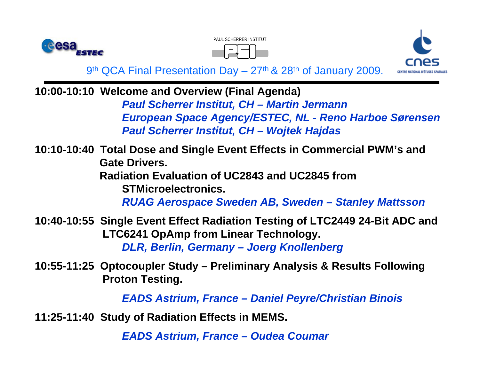





**10:00-10:10 Welcome and Overview (Final Agenda)** *Paul Scherrer Institut, CH – Martin Jermann European Space Agency/ESTEC, NL - Reno Harboe Sørensen Paul Scherrer Institut, CH – Wojtek Hajdas*

**10:10-10:40 Total Dose and Single Event Effects in Commercial PWM's and Gate Drivers. Radiation Evaluation of UC2843 and UC2845 from STMicroelectronics.**  *RUAG Aerospace Sweden AB, Sweden – Stanley Mattsson*

**10:40-10:55 Single Event Effect Radiation Testing of LTC2449 24-Bit ADC and LTC6241 OpAmp from Linear Technology.**  *DLR, Berlin, Germany – Joerg Knollenberg*

**10:55-11:25 Optocoupler Study – Preliminary Analysis & Results Following Proton Testing.**

*EADS Astrium, France – Daniel Peyre/Christian Binois*

**11:25-11:40 Study of Radiation Effects in MEMS.**

*EADS Astrium, France – Oudea Coumar*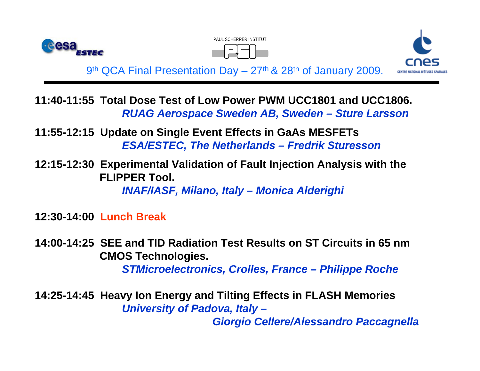





**11:40-11:55 Total Dose Test of Low Power PWM UCC1801 and UCC1806.**  *RUAG Aerospace Sweden AB, Sweden – Sture Larsson*

**11:55-12:15 Update on Single Event Effects in GaAs MESFETs** *ESA/ESTEC, The Netherlands – Fredrik Sturesson*

**12:15-12:30 Experimental Validation of Fault Injection Analysis with the FLIPPER Tool.** 

*INAF/IASF, Milano, Italy – Monica Alderighi*

**12:30-14:00 Lunch Break**

**14:00-14:25 SEE and TID Radiation Test Results on ST Circuits in 65 nm CMOS Technologies.**

*STMicroelectronics, Crolles, France – Philippe Roche* 

**14:25-14:45 Heavy Ion Energy and Tilting Effects in FLASH Memories** *University of Padova, Italy –*

*Giorgio Cellere/Alessandro Paccagnella*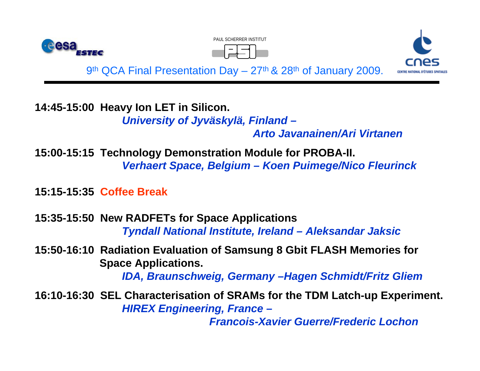





**14:45-15:00 Heavy Ion LET in Silicon.**

*University of Jyväskylä, Finland –*

*Arto Javanainen/Ari Virtanen*

**15:00-15:15 Technology Demonstration Module for PROBA-II.** *Verhaert Space, Belgium – Koen Puimege/Nico Fleurinck*

**15:15-15:35 Coffee Break**

**15:35-15:50 New RADFETs for Space Applications**  *Tyndall National Institute, Ireland – Aleksandar Jaksic*

**15:50-16:10 Radiation Evaluation of Samsung 8 Gbit FLASH Memories for Space Applications.**

*IDA, Braunschweig, Germany –Hagen Schmidt/Fritz Gliem*

**16:10-16:30 SEL Characterisation of SRAMs for the TDM Latch-up Experiment.** *HIREX Engineering, France –*

*Francois-Xavier Guerre/Frederic Lochon*